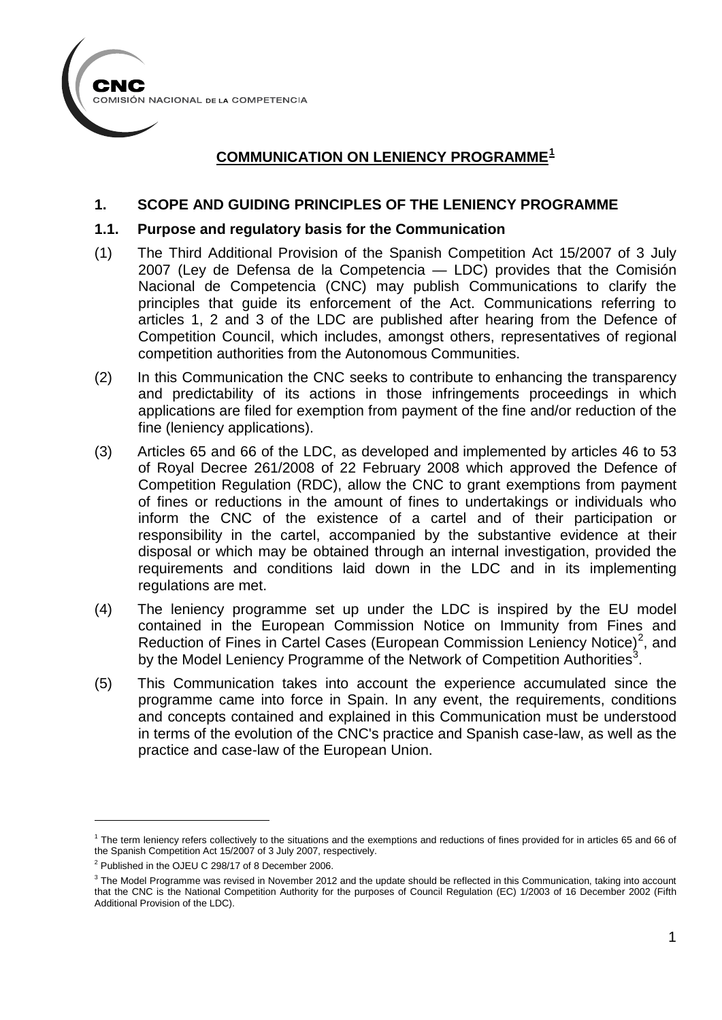

# **COMMUNICATION ON LENIENCY PROGRAMME[1](#page-0-0)**

#### **1. SCOPE AND GUIDING PRINCIPLES OF THE LENIENCY PROGRAMME**

#### **1.1. Purpose and regulatory basis for the Communication**

- (1) The Third Additional Provision of the Spanish Competition Act 15/2007 of 3 July 2007 (Ley de Defensa de la Competencia — LDC) provides that the Comisión Nacional de Competencia (CNC) may publish Communications to clarify the principles that guide its enforcement of the Act. Communications referring to articles 1, 2 and 3 of the LDC are published after hearing from the Defence of Competition Council, which includes, amongst others, representatives of regional competition authorities from the Autonomous Communities.
- (2) In this Communication the CNC seeks to contribute to enhancing the transparency and predictability of its actions in those infringements proceedings in which applications are filed for exemption from payment of the fine and/or reduction of the fine (leniency applications).
- (3) Articles 65 and 66 of the LDC, as developed and implemented by articles 46 to 53 of Royal Decree 261/2008 of 22 February 2008 which approved the Defence of Competition Regulation (RDC), allow the CNC to grant exemptions from payment of fines or reductions in the amount of fines to undertakings or individuals who inform the CNC of the existence of a cartel and of their participation or responsibility in the cartel, accompanied by the substantive evidence at their disposal or which may be obtained through an internal investigation, provided the requirements and conditions laid down in the LDC and in its implementing regulations are met.
- (4) The leniency programme set up under the LDC is inspired by the EU model contained in the European Commission Notice on Immunity from Fines and Reduction of Fines in Cartel Cases (European Commission Leniency Notice)<sup>[2](#page-0-1)</sup>, and by the Model Leniency Programme of the Network of Competition Authorities<sup>[3](#page-0-2)</sup>.
- (5) This Communication takes into account the experience accumulated since the programme came into force in Spain. In any event, the requirements, conditions and concepts contained and explained in this Communication must be understood in terms of the evolution of the CNC's practice and Spanish case-law, as well as the practice and case-law of the European Union.

<span id="page-0-0"></span> $1$  The term leniency refers collectively to the situations and the exemptions and reductions of fines provided for in articles 65 and 66 of the Spanish Competition Act 15/2007 of 3 July 2007, respectively.

<span id="page-0-1"></span><sup>2</sup> Published in the OJEU C 298/17 of 8 December 2006.

<span id="page-0-2"></span><sup>&</sup>lt;sup>3</sup> The Model Programme was revised in November 2012 and the update should be reflected in this Communication, taking into account that the CNC is the National Competition Authority for the purposes of Council Regulation (EC) 1/2003 of 16 December 2002 (Fifth Additional Provision of the LDC).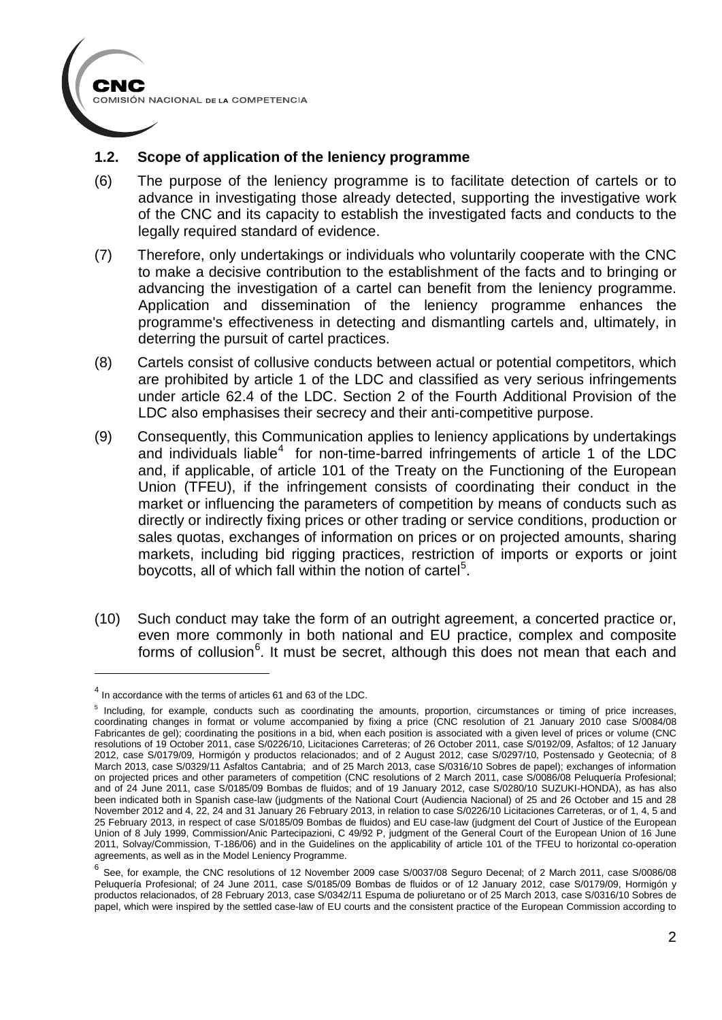

### **1.2. Scope of application of the leniency programme**

- (6) The purpose of the leniency programme is to facilitate detection of cartels or to advance in investigating those already detected, supporting the investigative work of the CNC and its capacity to establish the investigated facts and conducts to the legally required standard of evidence.
- (7) Therefore, only undertakings or individuals who voluntarily cooperate with the CNC to make a decisive contribution to the establishment of the facts and to bringing or advancing the investigation of a cartel can benefit from the leniency programme. Application and dissemination of the leniency programme enhances the programme's effectiveness in detecting and dismantling cartels and, ultimately, in deterring the pursuit of cartel practices.
- (8) Cartels consist of collusive conducts between actual or potential competitors, which are prohibited by article 1 of the LDC and classified as very serious infringements under article 62.4 of the LDC. Section 2 of the Fourth Additional Provision of the LDC also emphasises their secrecy and their anti-competitive purpose.
- (9) Consequently, this Communication applies to leniency applications by undertakings and individuals liable<sup>[4](#page-1-0)</sup> for non-time-barred infringements of article 1 of the LDC and, if applicable, of article 101 of the Treaty on the Functioning of the European Union (TFEU), if the infringement consists of coordinating their conduct in the market or influencing the parameters of competition by means of conducts such as directly or indirectly fixing prices or other trading or service conditions, production or sales quotas, exchanges of information on prices or on projected amounts, sharing markets, including bid rigging practices, restriction of imports or exports or joint boycotts, all of which fall within the notion of cartel<sup>[5](#page-1-1)</sup>.
- (10) Such conduct may take the form of an outright agreement, a concerted practice or, even more commonly in both national and EU practice, complex and composite forms of collusion<sup>[6](#page-1-2)</sup>. It must be secret, although this does not mean that each and

<span id="page-1-0"></span><sup>&</sup>lt;sup>4</sup> In accordance with the terms of articles 61 and 63 of the LDC.

<span id="page-1-1"></span><sup>&</sup>lt;sup>5</sup> Including, for example, conducts such as coordinating the amounts, proportion, circumstances or timing of price increases, coordinating changes in format or volume accompanied by fixing a price (CNC resolution of 21 January 2010 case S/0084/08 Fabricantes de gel); coordinating the positions in a bid, when each position is associated with a given level of prices or volume (CNC resolutions of 19 October 2011, case S/0226/10, Licitaciones Carreteras; of 26 October 2011, case S/0192/09, Asfaltos; of 12 January 2012, case S/0179/09, Hormigón y productos relacionados; and of 2 August 2012, case S/0297/10, Postensado y Geotecnia; of 8 March 2013, case S/0329/11 Asfaltos Cantabria; and of 25 March 2013, case S/0316/10 Sobres de papel); exchanges of information on projected prices and other parameters of competition (CNC resolutions of 2 March 2011, case S/0086/08 Peluquería Profesional; and of 24 June 2011, case S/0185/09 Bombas de fluidos; and of 19 January 2012, case S/0280/10 SUZUKI-HONDA), as has also been indicated both in Spanish case-law (judgments of the National Court (Audiencia Nacional) of 25 and 26 October and 15 and 28 November 2012 and 4, 22, 24 and 31 January 26 February 2013, in relation to case S/0226/10 Licitaciones Carreteras, or of 1, 4, 5 and 25 February 2013, in respect of case S/0185/09 Bombas de fluidos) and EU case-law (judgment del Court of Justice of the European Union of 8 July 1999, Commission/Anic Partecipazioni, C 49/92 P, judgment of the General Court of the European Union of 16 June 2011, Solvay/Commission, T-186/06) and in the Guidelines on the applicability of article 101 of the TFEU to horizontal co-operation agreements, as well as in the Model Leniency Programme.

<span id="page-1-2"></span> $6$  See, for example, the CNC resolutions of 12 November 2009 case S/0037/08 Seguro Decenal; of 2 March 2011, case S/0086/08 Peluquería Profesional; of 24 June 2011, case S/0185/09 Bombas de fluidos or of 12 January 2012, case S/0179/09, Hormigón y productos relacionados, of 28 February 2013, case S/0342/11 Espuma de poliuretano or of 25 March 2013, case S/0316/10 Sobres de papel, which were inspired by the settled case-law of EU courts and the consistent practice of the European Commission according to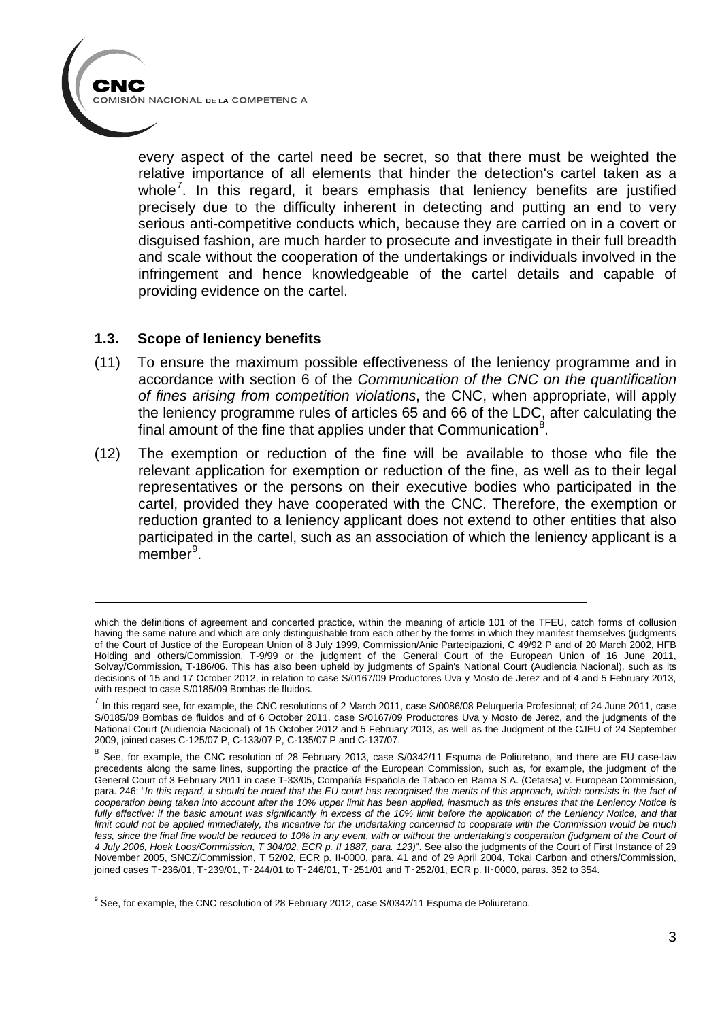

every aspect of the cartel need be secret, so that there must be weighted the relative importance of all elements that hinder the detection's cartel taken as a whole<sup>[7](#page-2-0)</sup>. In this regard, it bears emphasis that leniency benefits are justified precisely due to the difficulty inherent in detecting and putting an end to very serious anti-competitive conducts which, because they are carried on in a covert or disguised fashion, are much harder to prosecute and investigate in their full breadth and scale without the cooperation of the undertakings or individuals involved in the infringement and hence knowledgeable of the cartel details and capable of providing evidence on the cartel.

#### **1.3. Scope of leniency benefits**

- (11) To ensure the maximum possible effectiveness of the leniency programme and in accordance with section 6 of the *Communication of the CNC on the quantification of fines arising from competition violations*, the CNC, when appropriate, will apply the leniency programme rules of articles 65 and 66 of the LDC, after calculating the final amount of the fine that applies under that Communication $8$ .
- (12) The exemption or reduction of the fine will be available to those who file the relevant application for exemption or reduction of the fine, as well as to their legal representatives or the persons on their executive bodies who participated in the cartel, provided they have cooperated with the CNC. Therefore, the exemption or reduction granted to a leniency applicant does not extend to other entities that also participated in the cartel, such as an association of which the leniency applicant is a member<sup>[9](#page-2-2)</sup>.

which the definitions of agreement and concerted practice, within the meaning of article 101 of the TFEU, catch forms of collusion having the same nature and which are only distinguishable from each other by the forms in which they manifest themselves (judgments of the Court of Justice of the European Union of 8 July 1999, Commission/Anic Partecipazioni, C 49/92 P and of 20 March 2002, HFB Holding and others/Commission, T-9/99 or the judgment of the General Court of the European Union of 16 June 2011, Solvay/Commission, T-186/06. This has also been upheld by judgments of Spain's National Court (Audiencia Nacional), such as its decisions of 15 and 17 October 2012, in relation to case S/0167/09 Productores Uva y Mosto de Jerez and of 4 and 5 February 2013, with respect to case S/0185/09 Bombas de fluidos.

<span id="page-2-0"></span> $^7$  In this regard see, for example, the CNC resolutions of 2 March 2011, case S/0086/08 Peluquería Profesional; of 24 June 2011, case S/0185/09 Bombas de fluidos and of 6 October 2011, case S/0167/09 Productores Uva y Mosto de Jerez, and the judgments of the National Court (Audiencia Nacional) of 15 October 2012 and 5 February 2013, as well as the Judgment of the CJEU of 24 September 2009, joined cases C-125/07 P, C-133/07 P, C-135/07 P and C-137/07.

<span id="page-2-1"></span><sup>&</sup>lt;sup>8</sup> See, for example, the CNC resolution of 28 February 2013, case S/0342/11 Espuma de Poliuretano, and there are EU case-law precedents along the same lines, supporting the practice of the European Commission, such as, for example, the judgment of the General Court of 3 February 2011 in case T-33/05, Compañía Española de Tabaco en Rama S.A. (Cetarsa) v. European Commission, para. 246: "In this regard, it should be noted that the EU court has recognised the merits of this approach, which consists in the fact of *cooperation being taken into account after the 10% upper limit has been applied, inasmuch as this ensures that the Leniency Notice is fully effective: if the basic amount was significantly in excess of the 10% limit before the application of the Leniency Notice, and that limit could not be applied immediately, the incentive for the undertaking concerned to cooperate with the Commission would be much*  less, since the final fine would be reduced to 10% in any event, with or without the undertaking's cooperation (judgment of the Court of *4 July 2006, Hoek Loos/Commission, T 304/02, ECR p. II 1887, para. 123)*". See also the judgments of the Court of First Instance of 29 November 2005, SNCZ/Commission, T 52/02, ECR p. II-0000, para. 41 and of 29 April 2004, Tokai Carbon and others/Commission, joined cases T-236/01, T-239/01, T-244/01 to T-246/01, T-251/01 and T-252/01, ECR p. II-0000, paras. 352 to 354.

<span id="page-2-2"></span><sup>&</sup>lt;sup>9</sup> See, for example, the CNC resolution of 28 February 2012, case S/0342/11 Espuma de Poliuretano.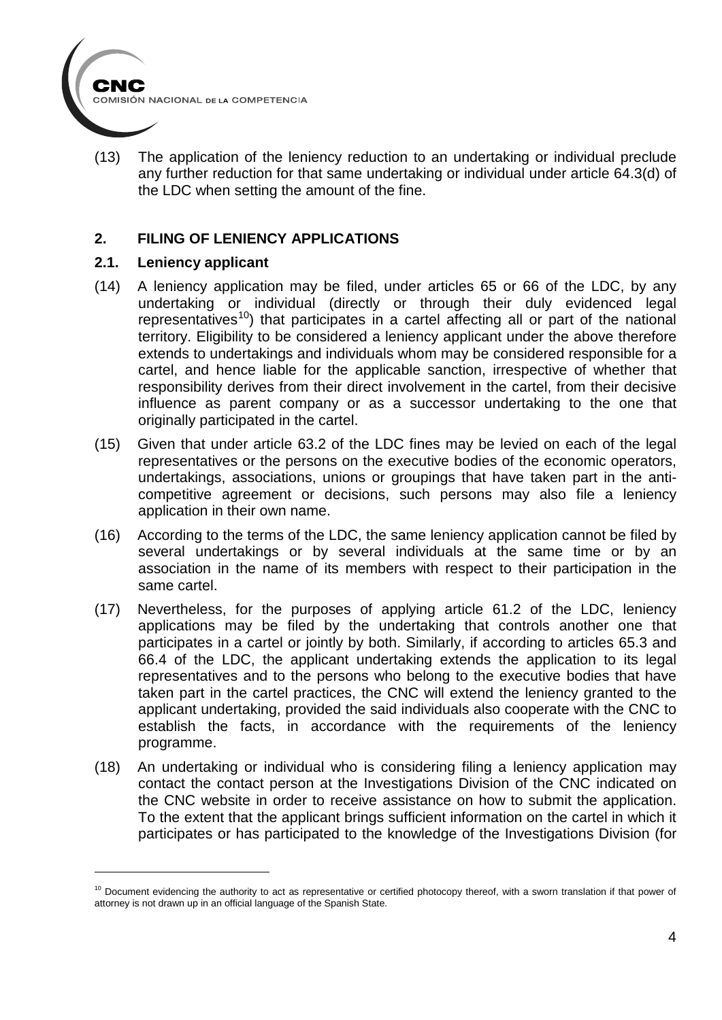

(13) The application of the leniency reduction to an undertaking or individual preclude any further reduction for that same undertaking or individual under article 64.3(d) of the LDC when setting the amount of the fine.

### **2. FILING OF LENIENCY APPLICATIONS**

#### **2.1. Leniency applicant**

- (14) A leniency application may be filed, under articles 65 or 66 of the LDC, by any undertaking or individual (directly or through their duly evidenced legal representatives<sup>[10](#page-3-0)</sup>) that participates in a cartel affecting all or part of the national territory. Eligibility to be considered a leniency applicant under the above therefore extends to undertakings and individuals whom may be considered responsible for a cartel, and hence liable for the applicable sanction, irrespective of whether that responsibility derives from their direct involvement in the cartel, from their decisive influence as parent company or as a successor undertaking to the one that originally participated in the cartel.
- (15) Given that under article 63.2 of the LDC fines may be levied on each of the legal representatives or the persons on the executive bodies of the economic operators, undertakings, associations, unions or groupings that have taken part in the anticompetitive agreement or decisions, such persons may also file a leniency application in their own name.
- (16) According to the terms of the LDC, the same leniency application cannot be filed by several undertakings or by several individuals at the same time or by an association in the name of its members with respect to their participation in the same cartel.
- (17) Nevertheless, for the purposes of applying article 61.2 of the LDC, leniency applications may be filed by the undertaking that controls another one that participates in a cartel or jointly by both. Similarly, if according to articles 65.3 and 66.4 of the LDC, the applicant undertaking extends the application to its legal representatives and to the persons who belong to the executive bodies that have taken part in the cartel practices, the CNC will extend the leniency granted to the applicant undertaking, provided the said individuals also cooperate with the CNC to establish the facts, in accordance with the requirements of the leniency programme.
- (18) An undertaking or individual who is considering filing a leniency application may contact the contact person at the Investigations Division of the CNC indicated on the CNC website in order to receive assistance on how to submit the application. To the extent that the applicant brings sufficient information on the cartel in which it participates or has participated to the knowledge of the Investigations Division (for

<span id="page-3-0"></span> $10$  Document evidencing the authority to act as representative or certified photocopy thereof, with a sworn translation if that power of attorney is not drawn up in an official language of the Spanish State.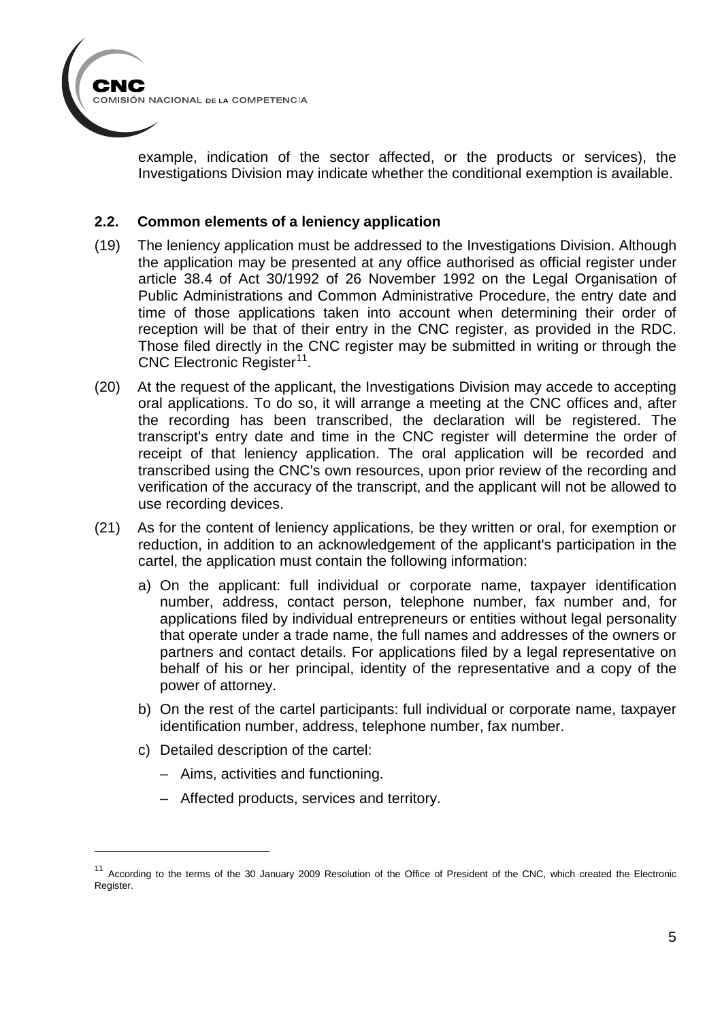

example, indication of the sector affected, or the products or services), the Investigations Division may indicate whether the conditional exemption is available.

#### **2.2. Common elements of a leniency application**

- (19) The leniency application must be addressed to the Investigations Division. Although the application may be presented at any office authorised as official register under article 38.4 of Act 30/1992 of 26 November 1992 on the Legal Organisation of Public Administrations and Common Administrative Procedure, the entry date and time of those applications taken into account when determining their order of reception will be that of their entry in the CNC register, as provided in the RDC. Those filed directly in the CNC register may be submitted in writing or through the CNC Electronic Register<sup>[11](#page-4-0)</sup>.
- (20) At the request of the applicant, the Investigations Division may accede to accepting oral applications. To do so, it will arrange a meeting at the CNC offices and, after the recording has been transcribed, the declaration will be registered. The transcript's entry date and time in the CNC register will determine the order of receipt of that leniency application. The oral application will be recorded and transcribed using the CNC's own resources, upon prior review of the recording and verification of the accuracy of the transcript, and the applicant will not be allowed to use recording devices.
- (21) As for the content of leniency applications, be they written or oral, for exemption or reduction, in addition to an acknowledgement of the applicant's participation in the cartel, the application must contain the following information:
	- a) On the applicant: full individual or corporate name, taxpayer identification number, address, contact person, telephone number, fax number and, for applications filed by individual entrepreneurs or entities without legal personality that operate under a trade name, the full names and addresses of the owners or partners and contact details. For applications filed by a legal representative on behalf of his or her principal, identity of the representative and a copy of the power of attorney.
	- b) On the rest of the cartel participants: full individual or corporate name, taxpayer identification number, address, telephone number, fax number.
	- c) Detailed description of the cartel:

- Aims, activities and functioning.
- Affected products, services and territory.

<span id="page-4-0"></span><sup>&</sup>lt;sup>11</sup> According to the terms of the 30 January 2009 Resolution of the Office of President of the CNC, which created the Electronic Register.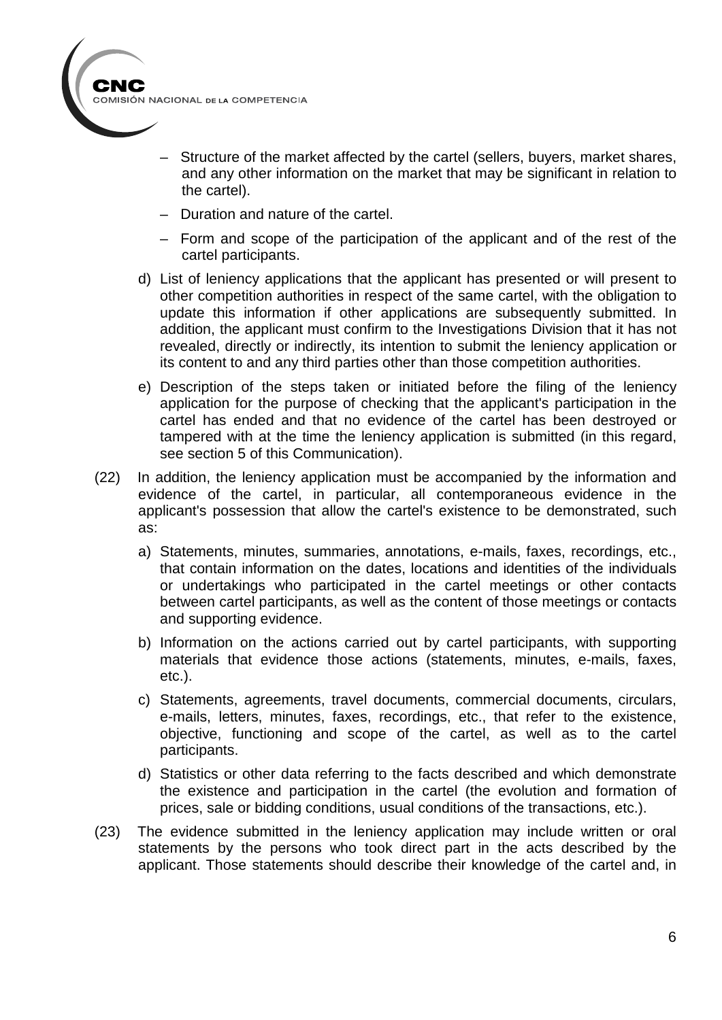

- Structure of the market affected by the cartel (sellers, buyers, market shares, and any other information on the market that may be significant in relation to the cartel).
- Duration and nature of the cartel.
- Form and scope of the participation of the applicant and of the rest of the cartel participants.
- d) List of leniency applications that the applicant has presented or will present to other competition authorities in respect of the same cartel, with the obligation to update this information if other applications are subsequently submitted. In addition, the applicant must confirm to the Investigations Division that it has not revealed, directly or indirectly, its intention to submit the leniency application or its content to and any third parties other than those competition authorities.
- e) Description of the steps taken or initiated before the filing of the leniency application for the purpose of checking that the applicant's participation in the cartel has ended and that no evidence of the cartel has been destroyed or tampered with at the time the leniency application is submitted (in this regard, see section 5 of this Communication).
- (22) In addition, the leniency application must be accompanied by the information and evidence of the cartel, in particular, all contemporaneous evidence in the applicant's possession that allow the cartel's existence to be demonstrated, such as:
	- a) Statements, minutes, summaries, annotations, e-mails, faxes, recordings, etc., that contain information on the dates, locations and identities of the individuals or undertakings who participated in the cartel meetings or other contacts between cartel participants, as well as the content of those meetings or contacts and supporting evidence.
	- b) Information on the actions carried out by cartel participants, with supporting materials that evidence those actions (statements, minutes, e-mails, faxes, etc.).
	- c) Statements, agreements, travel documents, commercial documents, circulars, e-mails, letters, minutes, faxes, recordings, etc., that refer to the existence, objective, functioning and scope of the cartel, as well as to the cartel participants.
	- d) Statistics or other data referring to the facts described and which demonstrate the existence and participation in the cartel (the evolution and formation of prices, sale or bidding conditions, usual conditions of the transactions, etc.).
- (23) The evidence submitted in the leniency application may include written or oral statements by the persons who took direct part in the acts described by the applicant. Those statements should describe their knowledge of the cartel and, in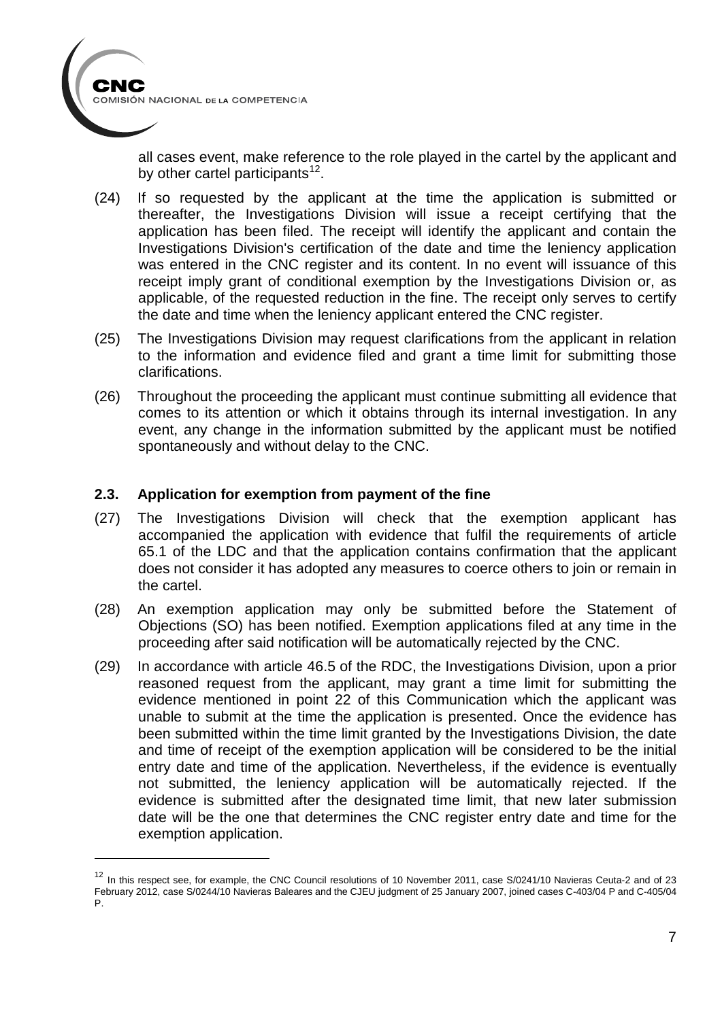

-

all cases event, make reference to the role played in the cartel by the applicant and by other cartel participants $12$ .

- (24) If so requested by the applicant at the time the application is submitted or thereafter, the Investigations Division will issue a receipt certifying that the application has been filed. The receipt will identify the applicant and contain the Investigations Division's certification of the date and time the leniency application was entered in the CNC register and its content. In no event will issuance of this receipt imply grant of conditional exemption by the Investigations Division or, as applicable, of the requested reduction in the fine. The receipt only serves to certify the date and time when the leniency applicant entered the CNC register.
- (25) The Investigations Division may request clarifications from the applicant in relation to the information and evidence filed and grant a time limit for submitting those clarifications.
- (26) Throughout the proceeding the applicant must continue submitting all evidence that comes to its attention or which it obtains through its internal investigation. In any event, any change in the information submitted by the applicant must be notified spontaneously and without delay to the CNC.

#### **2.3. Application for exemption from payment of the fine**

- (27) The Investigations Division will check that the exemption applicant has accompanied the application with evidence that fulfil the requirements of article 65.1 of the LDC and that the application contains confirmation that the applicant does not consider it has adopted any measures to coerce others to join or remain in the cartel.
- (28) An exemption application may only be submitted before the Statement of Objections (SO) has been notified. Exemption applications filed at any time in the proceeding after said notification will be automatically rejected by the CNC.
- (29) In accordance with article 46.5 of the RDC, the Investigations Division, upon a prior reasoned request from the applicant, may grant a time limit for submitting the evidence mentioned in point 22 of this Communication which the applicant was unable to submit at the time the application is presented. Once the evidence has been submitted within the time limit granted by the Investigations Division, the date and time of receipt of the exemption application will be considered to be the initial entry date and time of the application. Nevertheless, if the evidence is eventually not submitted, the leniency application will be automatically rejected. If the evidence is submitted after the designated time limit, that new later submission date will be the one that determines the CNC register entry date and time for the exemption application.

<span id="page-6-0"></span><sup>&</sup>lt;sup>12</sup> In this respect see, for example, the CNC Council resolutions of 10 November 2011, case S/0241/10 Navieras Ceuta-2 and of 23 February 2012, case S/0244/10 Navieras Baleares and the CJEU judgment of 25 January 2007, joined cases C-403/04 P and C-405/04 P.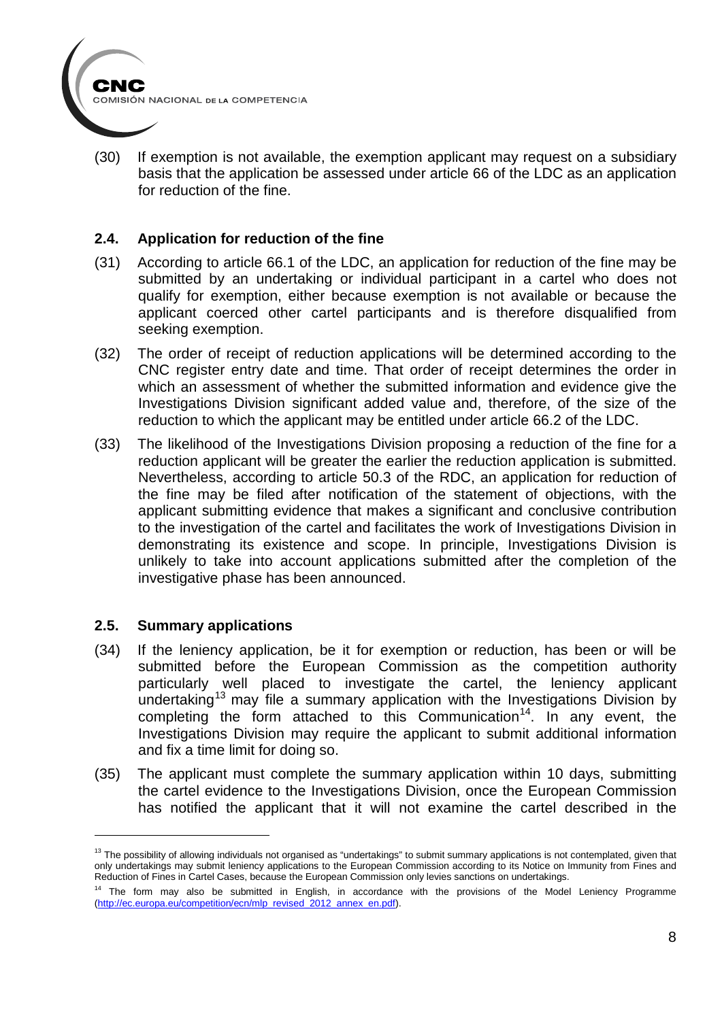

(30) If exemption is not available, the exemption applicant may request on a subsidiary basis that the application be assessed under article 66 of the LDC as an application for reduction of the fine.

#### **2.4. Application for reduction of the fine**

- (31) According to article 66.1 of the LDC, an application for reduction of the fine may be submitted by an undertaking or individual participant in a cartel who does not qualify for exemption, either because exemption is not available or because the applicant coerced other cartel participants and is therefore disqualified from seeking exemption.
- (32) The order of receipt of reduction applications will be determined according to the CNC register entry date and time. That order of receipt determines the order in which an assessment of whether the submitted information and evidence give the Investigations Division significant added value and, therefore, of the size of the reduction to which the applicant may be entitled under article 66.2 of the LDC.
- (33) The likelihood of the Investigations Division proposing a reduction of the fine for a reduction applicant will be greater the earlier the reduction application is submitted. Nevertheless, according to article 50.3 of the RDC, an application for reduction of the fine may be filed after notification of the statement of objections, with the applicant submitting evidence that makes a significant and conclusive contribution to the investigation of the cartel and facilitates the work of Investigations Division in demonstrating its existence and scope. In principle, Investigations Division is unlikely to take into account applications submitted after the completion of the investigative phase has been announced.

#### **2.5. Summary applications**

- (34) If the leniency application, be it for exemption or reduction, has been or will be submitted before the European Commission as the competition authority particularly well placed to investigate the cartel, the leniency applicant undertaking<sup>[13](#page-7-0)</sup> may file a summary application with the Investigations Division by completing the form attached to this Communication<sup>14</sup>. In any event, the Investigations Division may require the applicant to submit additional information and fix a time limit for doing so.
- (35) The applicant must complete the summary application within 10 days, submitting the cartel evidence to the Investigations Division, once the European Commission has notified the applicant that it will not examine the cartel described in the

<span id="page-7-0"></span><sup>&</sup>lt;sup>13</sup> The possibility of allowing individuals not organised as "undertakings" to submit summary applications is not contemplated, given that only undertakings may submit leniency applications to the European Commission according to its Notice on Immunity from Fines and Reduction of Fines in Cartel Cases, because the European Commission only levies sanctions on undertakings.

<span id="page-7-1"></span><sup>&</sup>lt;sup>14</sup> The form may also be submitted in English, in accordance with the provisions of the Model Leniency Programme [\(http://ec.europa.eu/competition/ecn/mlp\\_revised\\_2012\\_annex\\_en.pdf\)](http://ec.europa.eu/competition/ecn/mlp_revised_2012_annex_en.pdf).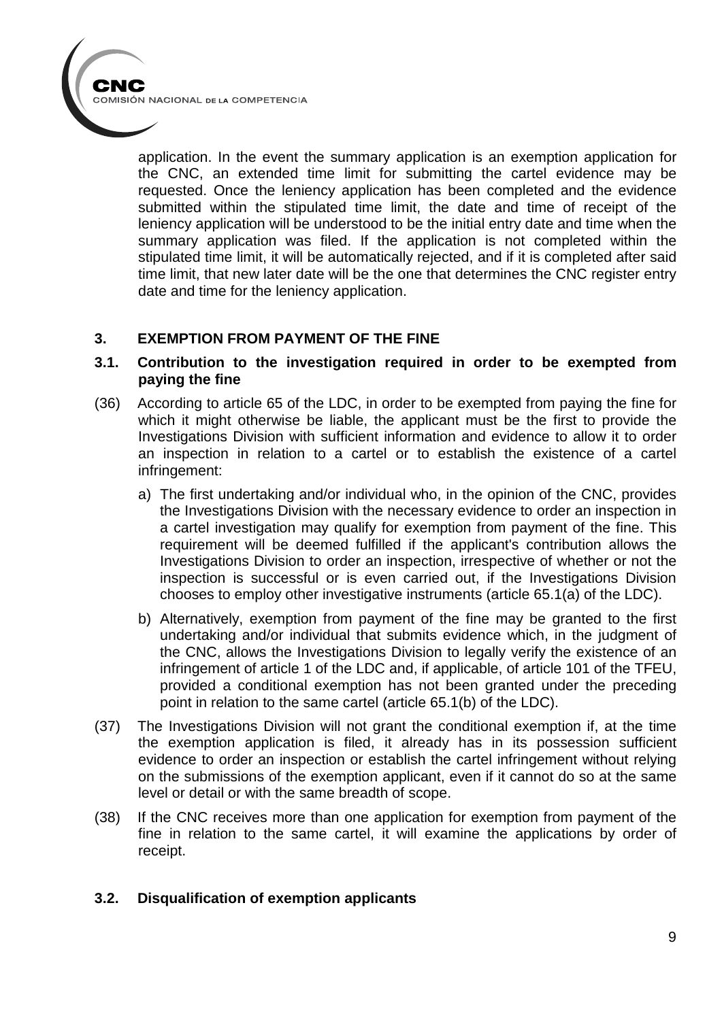application. In the event the summary application is an exemption application for the CNC, an extended time limit for submitting the cartel evidence may be requested. Once the leniency application has been completed and the evidence submitted within the stipulated time limit, the date and time of receipt of the leniency application will be understood to be the initial entry date and time when the summary application was filed. If the application is not completed within the stipulated time limit, it will be automatically rejected, and if it is completed after said time limit, that new later date will be the one that determines the CNC register entry date and time for the leniency application.

### **3. EXEMPTION FROM PAYMENT OF THE FINE**

#### **3.1. Contribution to the investigation required in order to be exempted from paying the fine**

- (36) According to article 65 of the LDC, in order to be exempted from paying the fine for which it might otherwise be liable, the applicant must be the first to provide the Investigations Division with sufficient information and evidence to allow it to order an inspection in relation to a cartel or to establish the existence of a cartel infringement:
	- a) The first undertaking and/or individual who, in the opinion of the CNC, provides the Investigations Division with the necessary evidence to order an inspection in a cartel investigation may qualify for exemption from payment of the fine. This requirement will be deemed fulfilled if the applicant's contribution allows the Investigations Division to order an inspection, irrespective of whether or not the inspection is successful or is even carried out, if the Investigations Division chooses to employ other investigative instruments (article 65.1(a) of the LDC).
	- b) Alternatively, exemption from payment of the fine may be granted to the first undertaking and/or individual that submits evidence which, in the judgment of the CNC, allows the Investigations Division to legally verify the existence of an infringement of article 1 of the LDC and, if applicable, of article 101 of the TFEU, provided a conditional exemption has not been granted under the preceding point in relation to the same cartel (article 65.1(b) of the LDC).
- (37) The Investigations Division will not grant the conditional exemption if, at the time the exemption application is filed, it already has in its possession sufficient evidence to order an inspection or establish the cartel infringement without relying on the submissions of the exemption applicant, even if it cannot do so at the same level or detail or with the same breadth of scope.
- (38) If the CNC receives more than one application for exemption from payment of the fine in relation to the same cartel, it will examine the applications by order of receipt.

### **3.2. Disqualification of exemption applicants**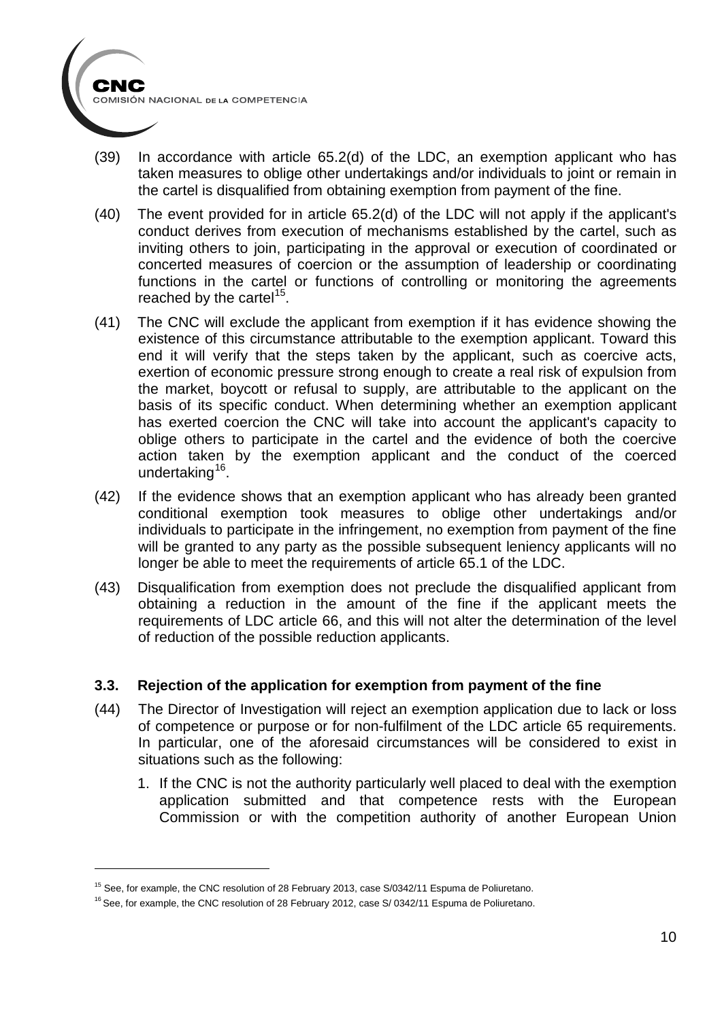

- (39) In accordance with article 65.2(d) of the LDC, an exemption applicant who has taken measures to oblige other undertakings and/or individuals to joint or remain in the cartel is disqualified from obtaining exemption from payment of the fine.
- (40) The event provided for in article 65.2(d) of the LDC will not apply if the applicant's conduct derives from execution of mechanisms established by the cartel, such as inviting others to join, participating in the approval or execution of coordinated or concerted measures of coercion or the assumption of leadership or coordinating functions in the cartel or functions of controlling or monitoring the agreements reached by the cartel<sup>[15](#page-9-0)</sup>.
- (41) The CNC will exclude the applicant from exemption if it has evidence showing the existence of this circumstance attributable to the exemption applicant. Toward this end it will verify that the steps taken by the applicant, such as coercive acts, exertion of economic pressure strong enough to create a real risk of expulsion from the market, boycott or refusal to supply, are attributable to the applicant on the basis of its specific conduct. When determining whether an exemption applicant has exerted coercion the CNC will take into account the applicant's capacity to oblige others to participate in the cartel and the evidence of both the coercive action taken by the exemption applicant and the conduct of the coerced undertaking<sup>[16](#page-9-1)</sup>.
- (42) If the evidence shows that an exemption applicant who has already been granted conditional exemption took measures to oblige other undertakings and/or individuals to participate in the infringement, no exemption from payment of the fine will be granted to any party as the possible subsequent leniency applicants will no longer be able to meet the requirements of article 65.1 of the LDC.
- (43) Disqualification from exemption does not preclude the disqualified applicant from obtaining a reduction in the amount of the fine if the applicant meets the requirements of LDC article 66, and this will not alter the determination of the level of reduction of the possible reduction applicants.

#### **3.3. Rejection of the application for exemption from payment of the fine**

- (44) The Director of Investigation will reject an exemption application due to lack or loss of competence or purpose or for non-fulfilment of the LDC article 65 requirements. In particular, one of the aforesaid circumstances will be considered to exist in situations such as the following:
	- 1. If the CNC is not the authority particularly well placed to deal with the exemption application submitted and that competence rests with the European Commission or with the competition authority of another European Union

<span id="page-9-0"></span><sup>&</sup>lt;sup>15</sup> See, for example, the CNC resolution of 28 February 2013, case S/0342/11 Espuma de Poliuretano.

<span id="page-9-1"></span><sup>&</sup>lt;sup>16</sup> See, for example, the CNC resolution of 28 February 2012, case S/ 0342/11 Espuma de Poliuretano.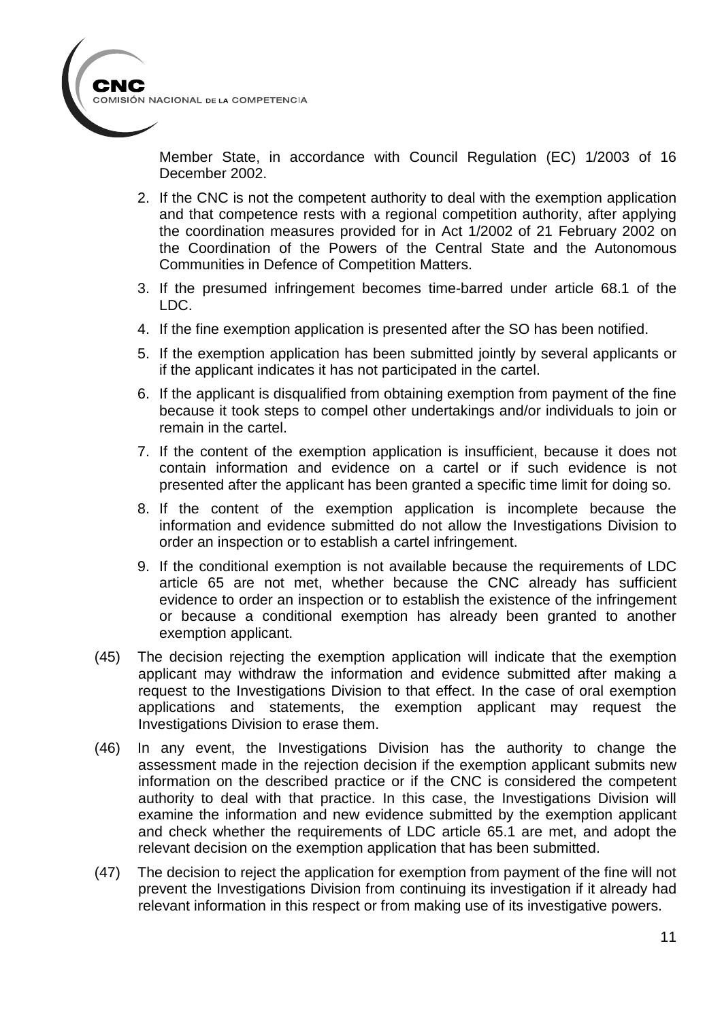

Member State, in accordance with Council Regulation (EC) 1/2003 of 16 December 2002.

- 2. If the CNC is not the competent authority to deal with the exemption application and that competence rests with a regional competition authority, after applying the coordination measures provided for in Act 1/2002 of 21 February 2002 on the Coordination of the Powers of the Central State and the Autonomous Communities in Defence of Competition Matters.
- 3. If the presumed infringement becomes time-barred under article 68.1 of the LDC.
- 4. If the fine exemption application is presented after the SO has been notified.
- 5. If the exemption application has been submitted jointly by several applicants or if the applicant indicates it has not participated in the cartel.
- 6. If the applicant is disqualified from obtaining exemption from payment of the fine because it took steps to compel other undertakings and/or individuals to join or remain in the cartel.
- 7. If the content of the exemption application is insufficient, because it does not contain information and evidence on a cartel or if such evidence is not presented after the applicant has been granted a specific time limit for doing so.
- 8. If the content of the exemption application is incomplete because the information and evidence submitted do not allow the Investigations Division to order an inspection or to establish a cartel infringement.
- 9. If the conditional exemption is not available because the requirements of LDC article 65 are not met, whether because the CNC already has sufficient evidence to order an inspection or to establish the existence of the infringement or because a conditional exemption has already been granted to another exemption applicant.
- (45) The decision rejecting the exemption application will indicate that the exemption applicant may withdraw the information and evidence submitted after making a request to the Investigations Division to that effect. In the case of oral exemption applications and statements, the exemption applicant may request the Investigations Division to erase them.
- (46) In any event, the Investigations Division has the authority to change the assessment made in the rejection decision if the exemption applicant submits new information on the described practice or if the CNC is considered the competent authority to deal with that practice. In this case, the Investigations Division will examine the information and new evidence submitted by the exemption applicant and check whether the requirements of LDC article 65.1 are met, and adopt the relevant decision on the exemption application that has been submitted.
- (47) The decision to reject the application for exemption from payment of the fine will not prevent the Investigations Division from continuing its investigation if it already had relevant information in this respect or from making use of its investigative powers.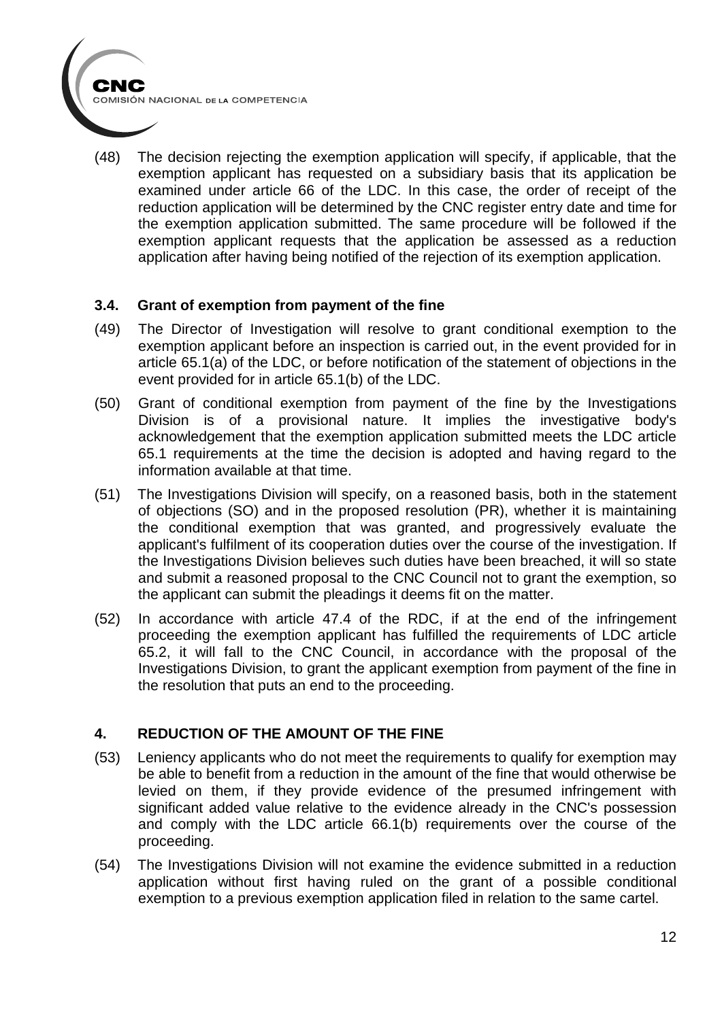(48) The decision rejecting the exemption application will specify, if applicable, that the exemption applicant has requested on a subsidiary basis that its application be examined under article 66 of the LDC. In this case, the order of receipt of the reduction application will be determined by the CNC register entry date and time for the exemption application submitted. The same procedure will be followed if the exemption applicant requests that the application be assessed as a reduction application after having being notified of the rejection of its exemption application.

### **3.4. Grant of exemption from payment of the fine**

- (49) The Director of Investigation will resolve to grant conditional exemption to the exemption applicant before an inspection is carried out, in the event provided for in article 65.1(a) of the LDC, or before notification of the statement of objections in the event provided for in article 65.1(b) of the LDC.
- (50) Grant of conditional exemption from payment of the fine by the Investigations Division is of a provisional nature. It implies the investigative body's acknowledgement that the exemption application submitted meets the LDC article 65.1 requirements at the time the decision is adopted and having regard to the information available at that time.
- (51) The Investigations Division will specify, on a reasoned basis, both in the statement of objections (SO) and in the proposed resolution (PR), whether it is maintaining the conditional exemption that was granted, and progressively evaluate the applicant's fulfilment of its cooperation duties over the course of the investigation. If the Investigations Division believes such duties have been breached, it will so state and submit a reasoned proposal to the CNC Council not to grant the exemption, so the applicant can submit the pleadings it deems fit on the matter.
- (52) In accordance with article 47.4 of the RDC, if at the end of the infringement proceeding the exemption applicant has fulfilled the requirements of LDC article 65.2, it will fall to the CNC Council, in accordance with the proposal of the Investigations Division, to grant the applicant exemption from payment of the fine in the resolution that puts an end to the proceeding.

### **4. REDUCTION OF THE AMOUNT OF THE FINE**

- (53) Leniency applicants who do not meet the requirements to qualify for exemption may be able to benefit from a reduction in the amount of the fine that would otherwise be levied on them, if they provide evidence of the presumed infringement with significant added value relative to the evidence already in the CNC's possession and comply with the LDC article 66.1(b) requirements over the course of the proceeding.
- (54) The Investigations Division will not examine the evidence submitted in a reduction application without first having ruled on the grant of a possible conditional exemption to a previous exemption application filed in relation to the same cartel.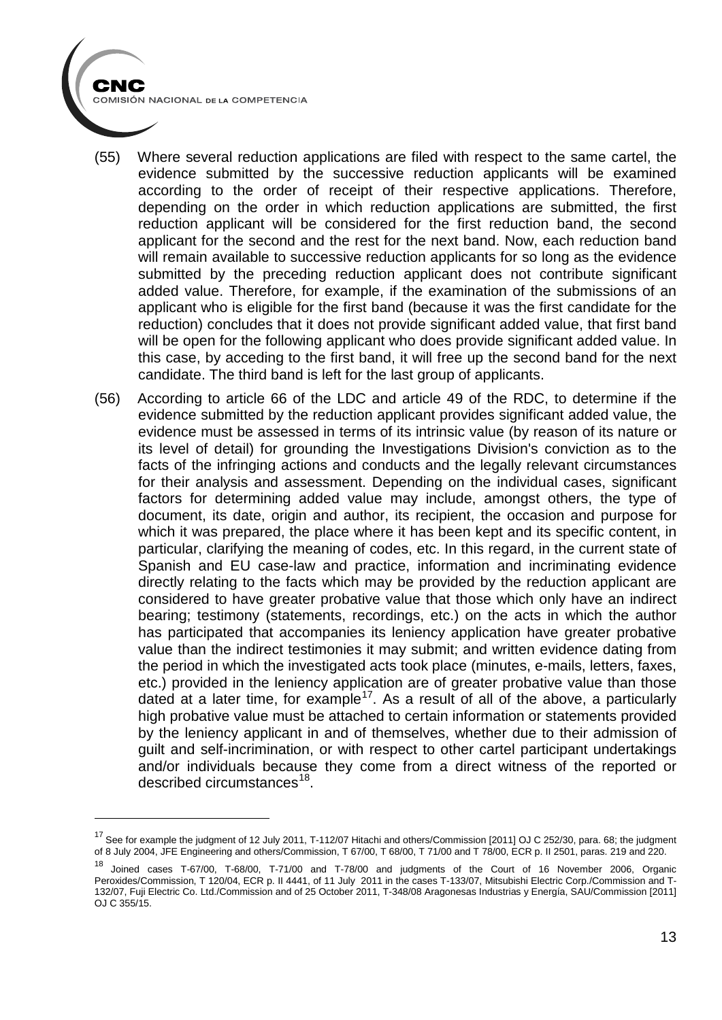CNC

- (55) Where several reduction applications are filed with respect to the same cartel, the evidence submitted by the successive reduction applicants will be examined according to the order of receipt of their respective applications. Therefore, depending on the order in which reduction applications are submitted, the first reduction applicant will be considered for the first reduction band, the second applicant for the second and the rest for the next band. Now, each reduction band will remain available to successive reduction applicants for so long as the evidence submitted by the preceding reduction applicant does not contribute significant added value. Therefore, for example, if the examination of the submissions of an applicant who is eligible for the first band (because it was the first candidate for the reduction) concludes that it does not provide significant added value, that first band will be open for the following applicant who does provide significant added value. In this case, by acceding to the first band, it will free up the second band for the next candidate. The third band is left for the last group of applicants.
- (56) According to article 66 of the LDC and article 49 of the RDC, to determine if the evidence submitted by the reduction applicant provides significant added value, the evidence must be assessed in terms of its intrinsic value (by reason of its nature or its level of detail) for grounding the Investigations Division's conviction as to the facts of the infringing actions and conducts and the legally relevant circumstances for their analysis and assessment. Depending on the individual cases, significant factors for determining added value may include, amongst others, the type of document, its date, origin and author, its recipient, the occasion and purpose for which it was prepared, the place where it has been kept and its specific content, in particular, clarifying the meaning of codes, etc. In this regard, in the current state of Spanish and EU case-law and practice, information and incriminating evidence directly relating to the facts which may be provided by the reduction applicant are considered to have greater probative value that those which only have an indirect bearing; testimony (statements, recordings, etc.) on the acts in which the author has participated that accompanies its leniency application have greater probative value than the indirect testimonies it may submit; and written evidence dating from the period in which the investigated acts took place (minutes, e-mails, letters, faxes, etc.) provided in the leniency application are of greater probative value than those dated at a later time, for example<sup>[17](#page-12-0)</sup>. As a result of all of the above, a particularly high probative value must be attached to certain information or statements provided by the leniency applicant in and of themselves, whether due to their admission of guilt and self-incrimination, or with respect to other cartel participant undertakings and/or individuals because they come from a direct witness of the reported or described circumstances<sup>[18](#page-12-1)</sup>.

<span id="page-12-0"></span><sup>&</sup>lt;sup>17</sup> See for example the judgment of 12 July 2011, T-112/07 Hitachi and others/Commission [2011] OJ C 252/30, para. 68; the judgment of 8 July 2004, JFE Engineering and others/Commission, T 67/00, T 68/00, T 71/00 and T 78/00, ECR p. II 2501, paras. 219 and 220.

<span id="page-12-1"></span><sup>18</sup> Joined cases T-67/00, T-68/00, T-71/00 and T-78/00 and judgments of the Court of 16 November 2006, Organic Peroxides/Commission, T 120/04, ECR p. II 4441, of 11 July 2011 in the cases T-133/07, Mitsubishi Electric Corp./Commission and T-132/07, Fuji Electric Co. Ltd./Commission and of 25 October 2011, T-348/08 Aragonesas Industrias y Energía, SAU/Commission [2011] OJ C 355/15.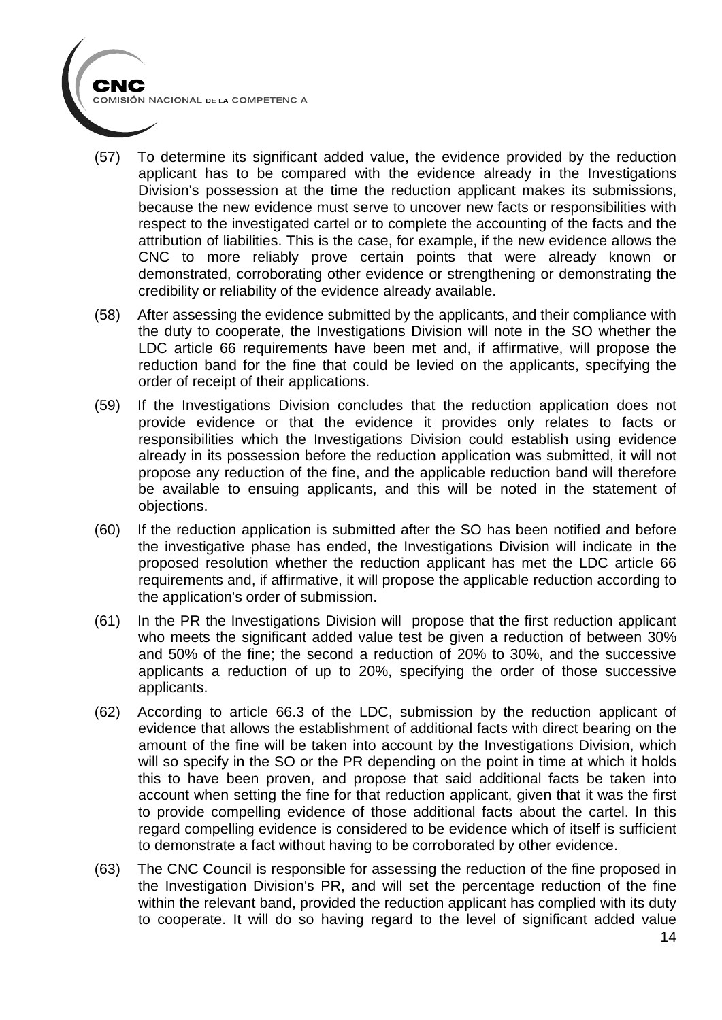- (57) To determine its significant added value, the evidence provided by the reduction applicant has to be compared with the evidence already in the Investigations Division's possession at the time the reduction applicant makes its submissions, because the new evidence must serve to uncover new facts or responsibilities with respect to the investigated cartel or to complete the accounting of the facts and the attribution of liabilities. This is the case, for example, if the new evidence allows the CNC to more reliably prove certain points that were already known or demonstrated, corroborating other evidence or strengthening or demonstrating the credibility or reliability of the evidence already available.
- (58) After assessing the evidence submitted by the applicants, and their compliance with the duty to cooperate, the Investigations Division will note in the SO whether the LDC article 66 requirements have been met and, if affirmative, will propose the reduction band for the fine that could be levied on the applicants, specifying the order of receipt of their applications.
- (59) If the Investigations Division concludes that the reduction application does not provide evidence or that the evidence it provides only relates to facts or responsibilities which the Investigations Division could establish using evidence already in its possession before the reduction application was submitted, it will not propose any reduction of the fine, and the applicable reduction band will therefore be available to ensuing applicants, and this will be noted in the statement of objections.
- (60) If the reduction application is submitted after the SO has been notified and before the investigative phase has ended, the Investigations Division will indicate in the proposed resolution whether the reduction applicant has met the LDC article 66 requirements and, if affirmative, it will propose the applicable reduction according to the application's order of submission.
- (61) In the PR the Investigations Division will propose that the first reduction applicant who meets the significant added value test be given a reduction of between 30% and 50% of the fine; the second a reduction of 20% to 30%, and the successive applicants a reduction of up to 20%, specifying the order of those successive applicants.
- (62) According to article 66.3 of the LDC, submission by the reduction applicant of evidence that allows the establishment of additional facts with direct bearing on the amount of the fine will be taken into account by the Investigations Division, which will so specify in the SO or the PR depending on the point in time at which it holds this to have been proven, and propose that said additional facts be taken into account when setting the fine for that reduction applicant, given that it was the first to provide compelling evidence of those additional facts about the cartel. In this regard compelling evidence is considered to be evidence which of itself is sufficient to demonstrate a fact without having to be corroborated by other evidence.
- (63) The CNC Council is responsible for assessing the reduction of the fine proposed in the Investigation Division's PR, and will set the percentage reduction of the fine within the relevant band, provided the reduction applicant has complied with its duty to cooperate. It will do so having regard to the level of significant added value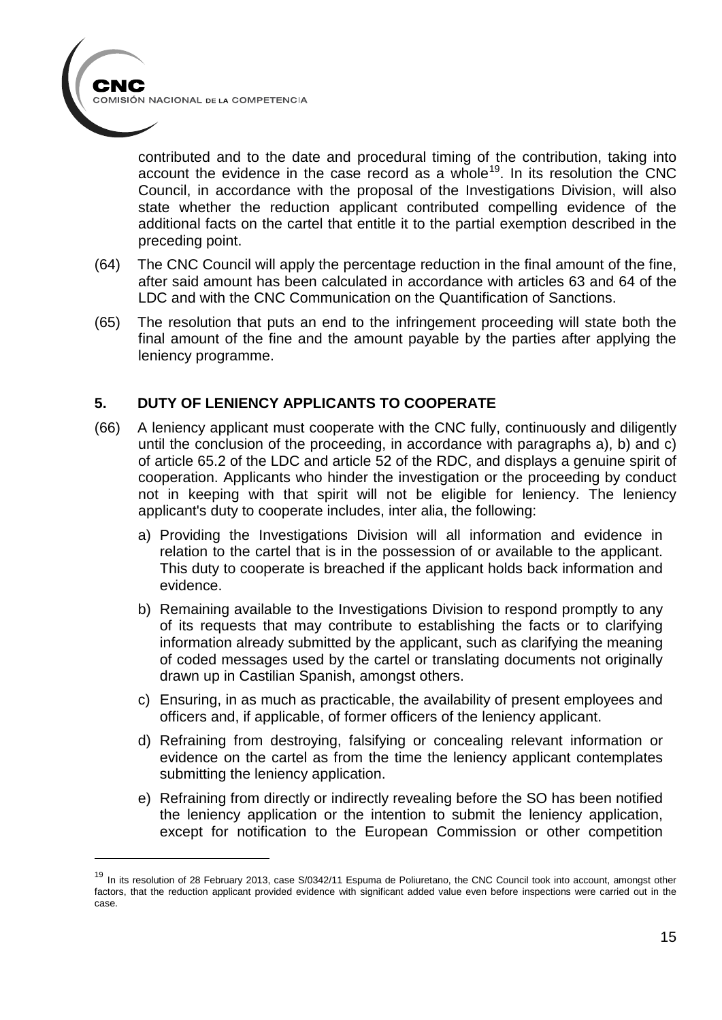

-

contributed and to the date and procedural timing of the contribution, taking into account the evidence in the case record as a whole<sup>[19](#page-14-0)</sup>. In its resolution the CNC Council, in accordance with the proposal of the Investigations Division, will also state whether the reduction applicant contributed compelling evidence of the additional facts on the cartel that entitle it to the partial exemption described in the preceding point.

- (64) The CNC Council will apply the percentage reduction in the final amount of the fine, after said amount has been calculated in accordance with articles 63 and 64 of the LDC and with the CNC Communication on the Quantification of Sanctions.
- (65) The resolution that puts an end to the infringement proceeding will state both the final amount of the fine and the amount payable by the parties after applying the leniency programme.

### **5. DUTY OF LENIENCY APPLICANTS TO COOPERATE**

- (66) A leniency applicant must cooperate with the CNC fully, continuously and diligently until the conclusion of the proceeding, in accordance with paragraphs a), b) and c) of article 65.2 of the LDC and article 52 of the RDC, and displays a genuine spirit of cooperation. Applicants who hinder the investigation or the proceeding by conduct not in keeping with that spirit will not be eligible for leniency. The leniency applicant's duty to cooperate includes, inter alia, the following:
	- a) Providing the Investigations Division will all information and evidence in relation to the cartel that is in the possession of or available to the applicant. This duty to cooperate is breached if the applicant holds back information and evidence.
	- b) Remaining available to the Investigations Division to respond promptly to any of its requests that may contribute to establishing the facts or to clarifying information already submitted by the applicant, such as clarifying the meaning of coded messages used by the cartel or translating documents not originally drawn up in Castilian Spanish, amongst others.
	- c) Ensuring, in as much as practicable, the availability of present employees and officers and, if applicable, of former officers of the leniency applicant.
	- d) Refraining from destroying, falsifying or concealing relevant information or evidence on the cartel as from the time the leniency applicant contemplates submitting the leniency application.
	- e) Refraining from directly or indirectly revealing before the SO has been notified the leniency application or the intention to submit the leniency application, except for notification to the European Commission or other competition

<span id="page-14-0"></span><sup>&</sup>lt;sup>19</sup> In its resolution of 28 February 2013, case S/0342/11 Espuma de Poliuretano, the CNC Council took into account, amongst other factors, that the reduction applicant provided evidence with significant added value even before inspections were carried out in the case.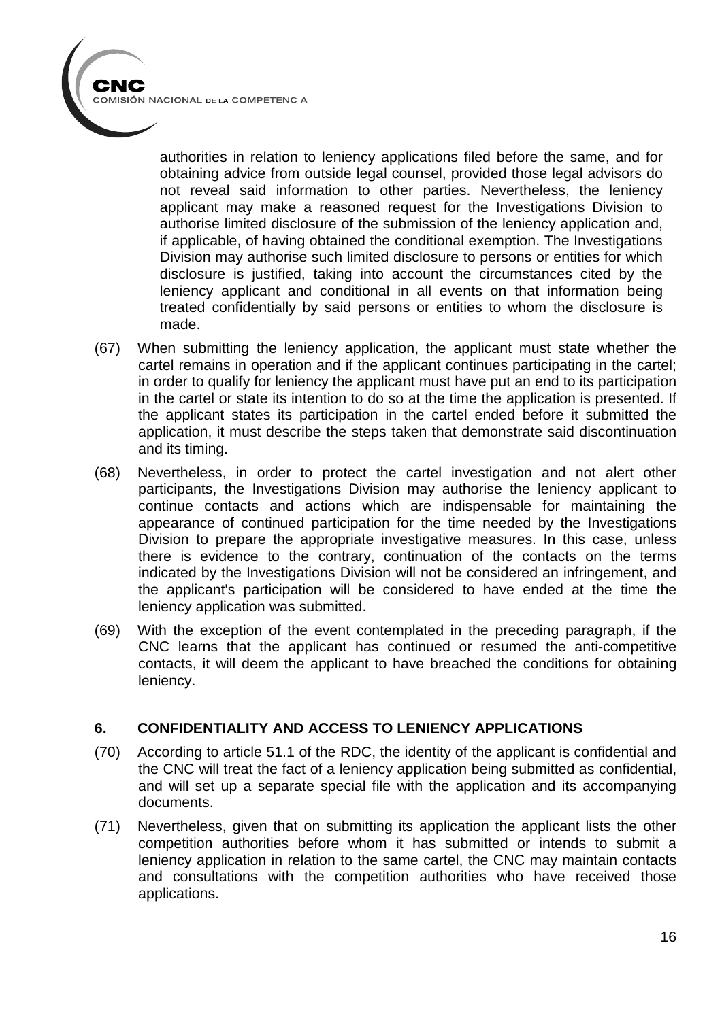authorities in relation to leniency applications filed before the same, and for obtaining advice from outside legal counsel, provided those legal advisors do not reveal said information to other parties. Nevertheless, the leniency applicant may make a reasoned request for the Investigations Division to authorise limited disclosure of the submission of the leniency application and, if applicable, of having obtained the conditional exemption. The Investigations Division may authorise such limited disclosure to persons or entities for which disclosure is justified, taking into account the circumstances cited by the leniency applicant and conditional in all events on that information being treated confidentially by said persons or entities to whom the disclosure is made.

- (67) When submitting the leniency application, the applicant must state whether the cartel remains in operation and if the applicant continues participating in the cartel; in order to qualify for leniency the applicant must have put an end to its participation in the cartel or state its intention to do so at the time the application is presented. If the applicant states its participation in the cartel ended before it submitted the application, it must describe the steps taken that demonstrate said discontinuation and its timing.
- (68) Nevertheless, in order to protect the cartel investigation and not alert other participants, the Investigations Division may authorise the leniency applicant to continue contacts and actions which are indispensable for maintaining the appearance of continued participation for the time needed by the Investigations Division to prepare the appropriate investigative measures. In this case, unless there is evidence to the contrary, continuation of the contacts on the terms indicated by the Investigations Division will not be considered an infringement, and the applicant's participation will be considered to have ended at the time the leniency application was submitted.
- (69) With the exception of the event contemplated in the preceding paragraph, if the CNC learns that the applicant has continued or resumed the anti-competitive contacts, it will deem the applicant to have breached the conditions for obtaining leniency.

### **6. CONFIDENTIALITY AND ACCESS TO LENIENCY APPLICATIONS**

- (70) According to article 51.1 of the RDC, the identity of the applicant is confidential and the CNC will treat the fact of a leniency application being submitted as confidential, and will set up a separate special file with the application and its accompanying documents.
- (71) Nevertheless, given that on submitting its application the applicant lists the other competition authorities before whom it has submitted or intends to submit a leniency application in relation to the same cartel, the CNC may maintain contacts and consultations with the competition authorities who have received those applications.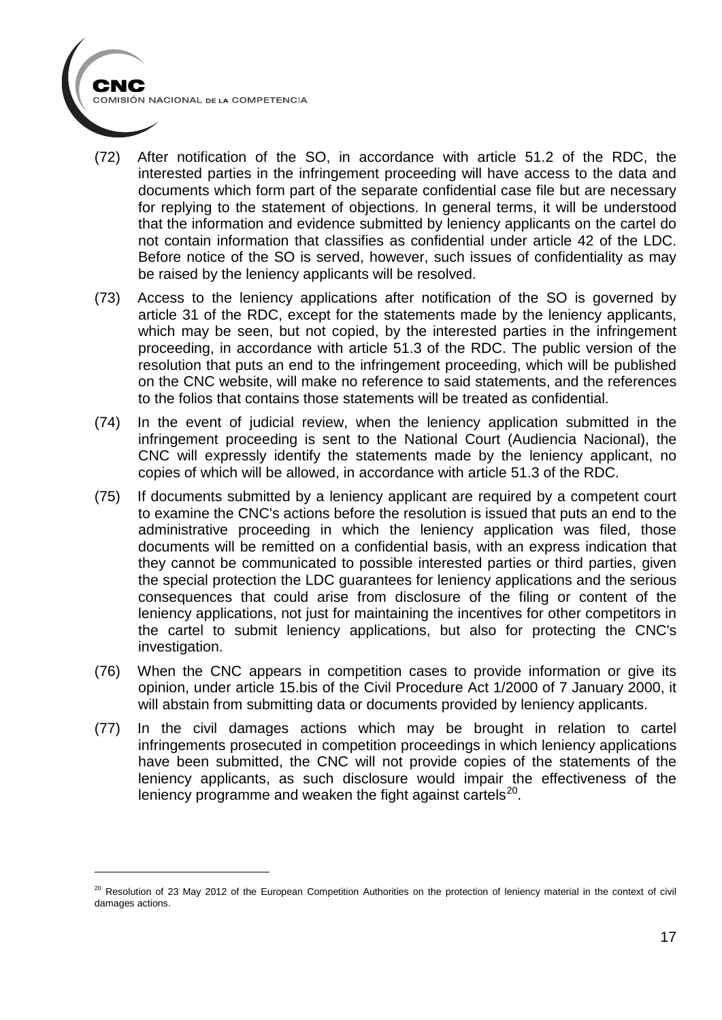- (72) After notification of the SO, in accordance with article 51.2 of the RDC, the interested parties in the infringement proceeding will have access to the data and documents which form part of the separate confidential case file but are necessary for replying to the statement of objections. In general terms, it will be understood that the information and evidence submitted by leniency applicants on the cartel do not contain information that classifies as confidential under article 42 of the LDC. Before notice of the SO is served, however, such issues of confidentiality as may be raised by the leniency applicants will be resolved.
- (73) Access to the leniency applications after notification of the SO is governed by article 31 of the RDC, except for the statements made by the leniency applicants, which may be seen, but not copied, by the interested parties in the infringement proceeding, in accordance with article 51.3 of the RDC. The public version of the resolution that puts an end to the infringement proceeding, which will be published on the CNC website, will make no reference to said statements, and the references to the folios that contains those statements will be treated as confidential.
- (74) In the event of judicial review, when the leniency application submitted in the infringement proceeding is sent to the National Court (Audiencia Nacional), the CNC will expressly identify the statements made by the leniency applicant, no copies of which will be allowed, in accordance with article 51.3 of the RDC.
- (75) If documents submitted by a leniency applicant are required by a competent court to examine the CNC's actions before the resolution is issued that puts an end to the administrative proceeding in which the leniency application was filed, those documents will be remitted on a confidential basis, with an express indication that they cannot be communicated to possible interested parties or third parties, given the special protection the LDC guarantees for leniency applications and the serious consequences that could arise from disclosure of the filing or content of the leniency applications, not just for maintaining the incentives for other competitors in the cartel to submit leniency applications, but also for protecting the CNC's investigation.
- (76) When the CNC appears in competition cases to provide information or give its opinion, under article 15.bis of the Civil Procedure Act 1/2000 of 7 January 2000, it will abstain from submitting data or documents provided by leniency applicants.
- (77) In the civil damages actions which may be brought in relation to cartel infringements prosecuted in competition proceedings in which leniency applications have been submitted, the CNC will not provide copies of the statements of the leniency applicants, as such disclosure would impair the effectiveness of the leniency programme and weaken the fight against cartels $^{20}$ .

<span id="page-16-0"></span><sup>&</sup>lt;sup>20</sup> Resolution of 23 May 2012 of the European Competition Authorities on the protection of leniency material in the context of civil damages actions.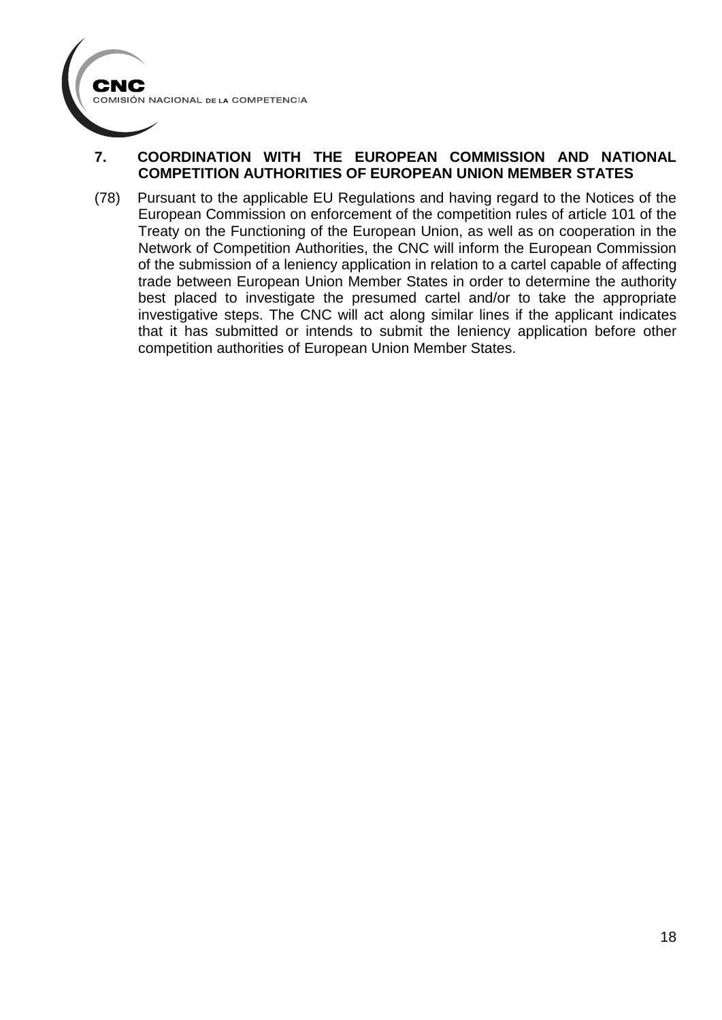## **7. COORDINATION WITH THE EUROPEAN COMMISSION AND NATIONAL COMPETITION AUTHORITIES OF EUROPEAN UNION MEMBER STATES**

(78) Pursuant to the applicable EU Regulations and having regard to the Notices of the European Commission on enforcement of the competition rules of article 101 of the Treaty on the Functioning of the European Union, as well as on cooperation in the Network of Competition Authorities, the CNC will inform the European Commission of the submission of a leniency application in relation to a cartel capable of affecting trade between European Union Member States in order to determine the authority best placed to investigate the presumed cartel and/or to take the appropriate investigative steps. The CNC will act along similar lines if the applicant indicates that it has submitted or intends to submit the leniency application before other competition authorities of European Union Member States.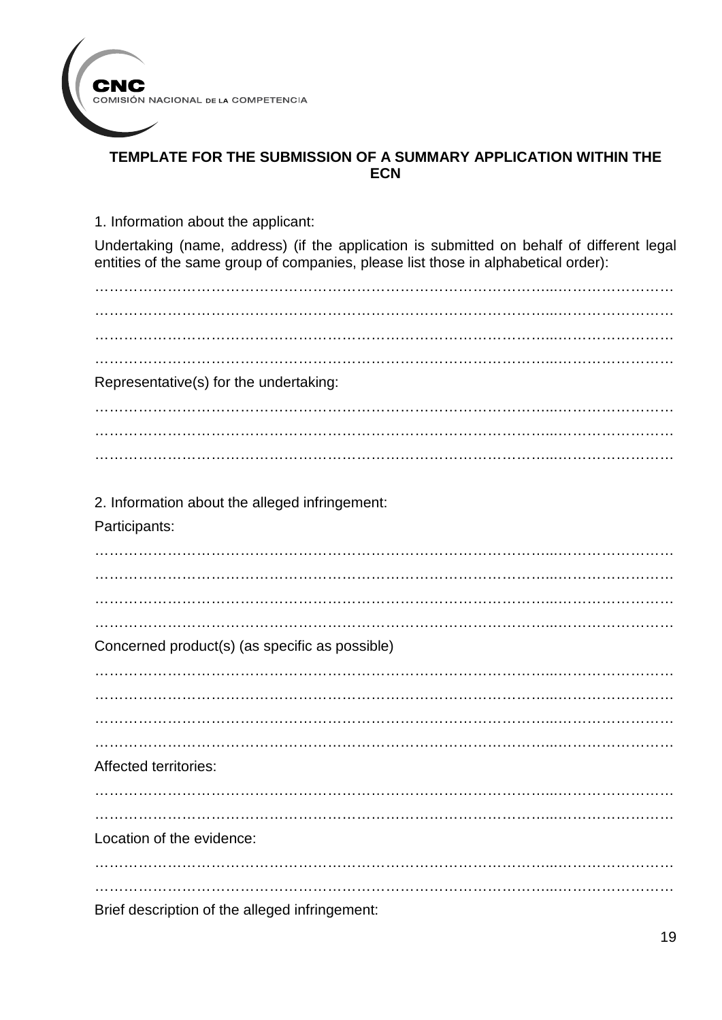

# **TEMPLATE FOR THE SUBMISSION OF A SUMMARY APPLICATION WITHIN THE ECN**

1. Information about the applicant:

Undertaking (name, address) (if the application is submitted on behalf of different legal entities of the same group of companies, please list those in alphabetical order):

…………………………………………………………………………………...…………………… …………………………………………………………………………………...…………………… …………………………………………………………………………………...…………………… Representative(s) for the undertaking: …………………………………………………………………………………...…………………… …………………………………………………………………………………...…………………… …………………………………………………………………………………...…………………… 2. Information about the alleged infringement: Participants:  $\mathcal{L}^{\text{max}}_{\text{max}}$ …………………………………………………………………………………...……………………  $\mathcal{L}^{\text{max}}_{\text{max}}$ …………………………………………………………………………………...…………………… Concerned product(s) (as specific as possible) …………………………………………………………………………………...…………………… …………………………………………………………………………………...…………………… …………………………………………………………………………………...…………………… Affected territories: …………………………………………………………………………………...…………………… …………………………………………………………………………………...…………………… Location of the evidence: …………………………………………………………………………………...…………………… …………………………………………………………………………………...…………………… Brief description of the alleged infringement: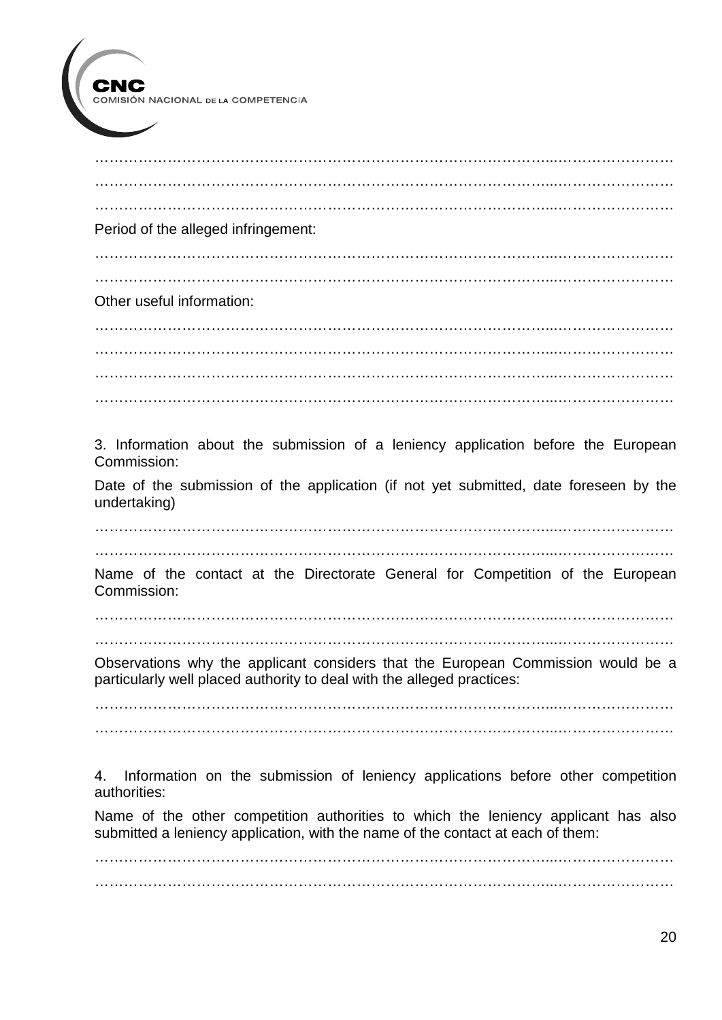$\mathcal{L}^{\text{max}}_{\text{max}}$ …………………………………………………………………………………...…………………… …………………………………………………………………………………...…………………… Period of the alleged infringement: …………………………………………………………………………………...…………………… …………………………………………………………………………………...…………………… Other useful information: …………………………………………………………………………………...…………………… …………………………………………………………………………………...…………………… …………………………………………………………………………………...…………………… …………………………………………………………………………………...…………………… 3. Information about the submission of a leniency application before the European Commission: Date of the submission of the application (if not yet submitted, date foreseen by the undertaking) …………………………………………………………………………………...…………………… Name of the contact at the Directorate General for Competition of the European Commission: …………………………………………………………………………………...…………………… …………………………………………………………………………………...…………………… Observations why the applicant considers that the European Commission would be a particularly well placed authority to deal with the alleged practices: …………………………………………………………………………………...…………………… …………………………………………………………………………………...…………………… 4. Information on the submission of leniency applications before other competition authorities: Name of the other competition authorities to which the leniency applicant has also submitted a leniency application, with the name of the contact at each of them: …………………………………………………………………………………...…………………… …………………………………………………………………………………...……………………